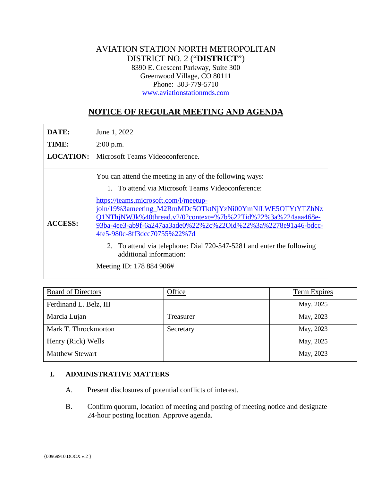# AVIATION STATION NORTH METROPOLITAN DISTRICT NO. 2 ("**DISTRICT**") 8390 E. Crescent Parkway, Suite 300 Greenwood Village, CO 80111 Phone: 303-779-5710 [www.aviationstationmds.com](http://www.aviationstationmds.com/)

# **NOTICE OF REGULAR MEETING AND AGENDA**

| DATE:            | June 1, 2022                                                                                                                                                                                                                                                                                                                                                                                                                                                                                                         |
|------------------|----------------------------------------------------------------------------------------------------------------------------------------------------------------------------------------------------------------------------------------------------------------------------------------------------------------------------------------------------------------------------------------------------------------------------------------------------------------------------------------------------------------------|
| TIME:            | $2:00$ p.m.                                                                                                                                                                                                                                                                                                                                                                                                                                                                                                          |
| <b>LOCATION:</b> | Microsoft Teams Videoconference.                                                                                                                                                                                                                                                                                                                                                                                                                                                                                     |
| <b>ACCESS:</b>   | You can attend the meeting in any of the following ways:<br>1. To attend via Microsoft Teams Videoconference:<br>https://teams.microsoft.com/l/meetup-<br>join/19%3ameeting_M2RmMDc5OTktNjYzNi00YmNlLWE5OTYtYTZhNz<br>Q1NThjNWJk%40thread.v2/0?context=%7b%22Tid%22%3a%224aaa468e-<br>93ba-4ee3-ab9f-6a247aa3ade0%22%2c%22Oid%22%3a%2278e91a46-bdcc-<br>4fe5-980c-8ff3dcc70755%22%7d<br>2. To attend via telephone: Dial 720-547-5281 and enter the following<br>additional information:<br>Meeting ID: 178 884 906# |

| <b>Board of Directors</b> | Office    | Term Expires |
|---------------------------|-----------|--------------|
| Ferdinand L. Belz, III    |           | May, 2025    |
| Marcia Lujan              | Treasurer | May, 2023    |
| Mark T. Throckmorton      | Secretary | May, 2023    |
| Henry (Rick) Wells        |           | May, 2025    |
| <b>Matthew Stewart</b>    |           | May, 2023    |

## **I. ADMINISTRATIVE MATTERS**

- A. Present disclosures of potential conflicts of interest.
- B. Confirm quorum, location of meeting and posting of meeting notice and designate 24-hour posting location. Approve agenda.